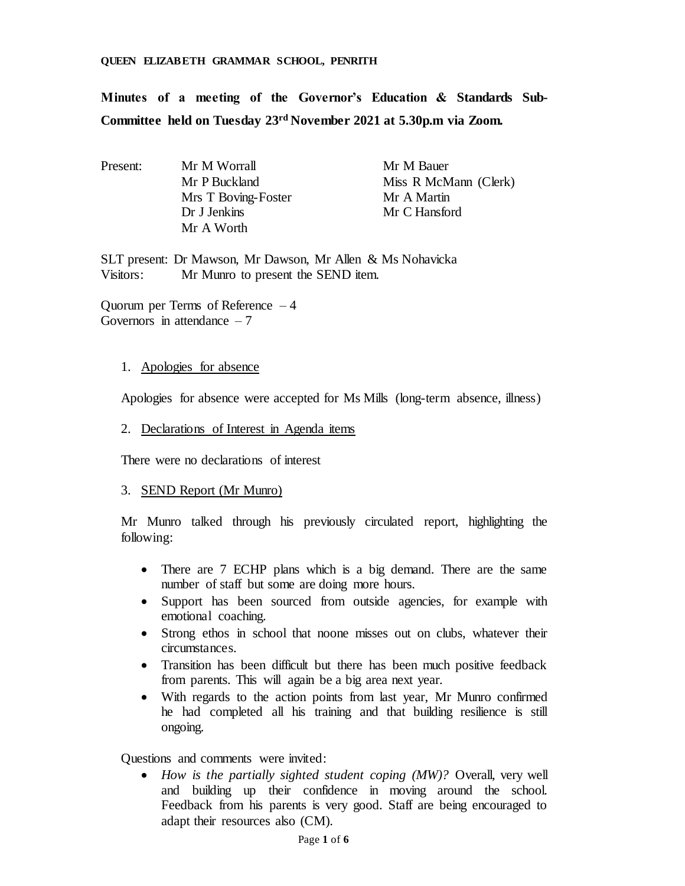#### **QUEEN ELIZABETH GRAMMAR SCHOOL, PENRITH**

**Minutes of a meeting of the Governor's Education & Standards Sub-Committee held on Tuesday 23rd November 2021 at 5.30p.m via Zoom.**

| Present: | Mr M Worrall        | Mr M Bauer            |  |  |
|----------|---------------------|-----------------------|--|--|
|          | Mr P Buckland       | Miss R McMann (Clerk) |  |  |
|          | Mrs T Boving-Foster | Mr A Martin           |  |  |
|          | Dr J Jenkins        | Mr C Hansford         |  |  |
|          | Mr A Worth          |                       |  |  |

SLT present: Dr Mawson, Mr Dawson, Mr Allen & Ms Nohavicka Visitors: Mr Munro to present the SEND item.

Quorum per Terms of Reference – 4 Governors in attendance  $-7$ 

#### 1. Apologies for absence

Apologies for absence were accepted for Ms Mills (long-term absence, illness)

### 2. Declarations of Interest in Agenda items

There were no declarations of interest

## 3. SEND Report (Mr Munro)

Mr Munro talked through his previously circulated report, highlighting the following:

- There are 7 ECHP plans which is a big demand. There are the same number of staff but some are doing more hours.
- Support has been sourced from outside agencies, for example with emotional coaching.
- Strong ethos in school that noone misses out on clubs, whatever their circumstances.
- Transition has been difficult but there has been much positive feedback from parents. This will again be a big area next year.
- With regards to the action points from last year, Mr Munro confirmed he had completed all his training and that building resilience is still ongoing.

Questions and comments were invited:

 *How is the partially sighted student coping (MW)?* Overall, very well and building up their confidence in moving around the school. Feedback from his parents is very good. Staff are being encouraged to adapt their resources also (CM).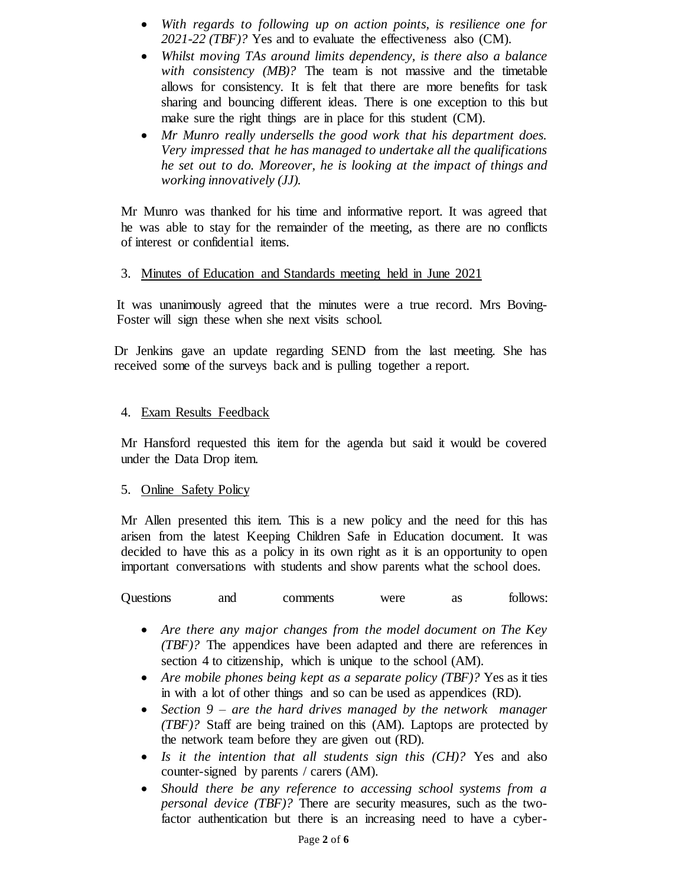- *With regards to following up on action points, is resilience one for 2021-22 (TBF)?* Yes and to evaluate the effectiveness also (CM).
- *Whilst moving TAs around limits dependency, is there also a balance with consistency (MB)?* The team is not massive and the timetable allows for consistency. It is felt that there are more benefits for task sharing and bouncing different ideas. There is one exception to this but make sure the right things are in place for this student (CM).
- *Mr Munro really undersells the good work that his department does. Very impressed that he has managed to undertake all the qualifications he set out to do. Moreover, he is looking at the impact of things and working innovatively (JJ).*

Mr Munro was thanked for his time and informative report. It was agreed that he was able to stay for the remainder of the meeting, as there are no conflicts of interest or confidential items.

### 3. Minutes of Education and Standards meeting held in June 2021

It was unanimously agreed that the minutes were a true record. Mrs Boving-Foster will sign these when she next visits school.

Dr Jenkins gave an update regarding SEND from the last meeting. She has received some of the surveys back and is pulling together a report.

### 4. Exam Results Feedback

Mr Hansford requested this item for the agenda but said it would be covered under the Data Drop item.

## 5. Online Safety Policy

Mr Allen presented this item. This is a new policy and the need for this has arisen from the latest Keeping Children Safe in Education document. It was decided to have this as a policy in its own right as it is an opportunity to open important conversations with students and show parents what the school does.

| Questions | and | comments | were |  | follows: |
|-----------|-----|----------|------|--|----------|
|-----------|-----|----------|------|--|----------|

- *Are there any major changes from the model document on The Key (TBF)?* The appendices have been adapted and there are references in section 4 to citizenship, which is unique to the school (AM).
- *Are mobile phones being kept as a separate policy (TBF)?* Yes as it ties in with a lot of other things and so can be used as appendices (RD).
- *Section 9 – are the hard drives managed by the network manager (TBF)?* Staff are being trained on this (AM). Laptops are protected by the network team before they are given out (RD).
- *Is it the intention that all students sign this (CH)?* Yes and also counter-signed by parents / carers (AM).
- *Should there be any reference to accessing school systems from a personal device (TBF)?* There are security measures, such as the twofactor authentication but there is an increasing need to have a cyber-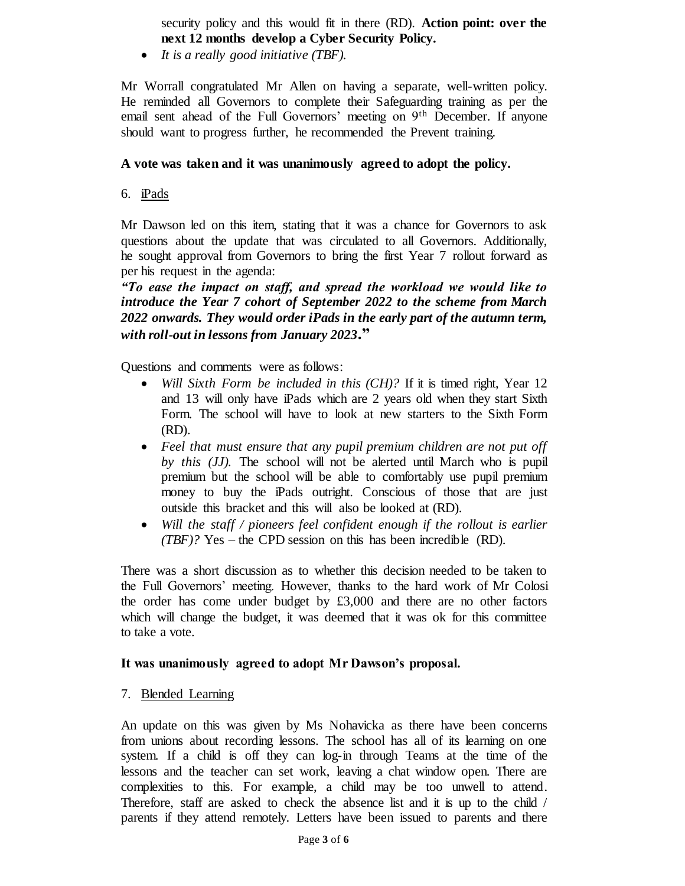security policy and this would fit in there (RD). **Action point: over the next 12 months develop a Cyber Security Policy.** 

*It is a really good initiative (TBF).*

Mr Worrall congratulated Mr Allen on having a separate, well-written policy. He reminded all Governors to complete their Safeguarding training as per the email sent ahead of the Full Governors' meeting on 9th December. If anyone should want to progress further, he recommended the Prevent training.

# **A vote was taken and it was unanimously agreed to adopt the policy.**

6. iPads

Mr Dawson led on this item, stating that it was a chance for Governors to ask questions about the update that was circulated to all Governors. Additionally, he sought approval from Governors to bring the first Year 7 rollout forward as per his request in the agenda:

*"To ease the impact on staff, and spread the workload we would like to introduce the Year 7 cohort of September 2022 to the scheme from March 2022 onwards. They would order iPads in the early part of the autumn term, with roll-out in lessons from January 2023***."**

Questions and comments were as follows:

- *Will Sixth Form be included in this (CH)?* If it is timed right, Year 12 and 13 will only have iPads which are 2 years old when they start Sixth Form. The school will have to look at new starters to the Sixth Form (RD).
- *Feel that must ensure that any pupil premium children are not put off by this (JJ).* The school will not be alerted until March who is pupil premium but the school will be able to comfortably use pupil premium money to buy the iPads outright. Conscious of those that are just outside this bracket and this will also be looked at (RD).
- *Will the staff / pioneers feel confident enough if the rollout is earlier (TBF)?* Yes – the CPD session on this has been incredible (RD).

There was a short discussion as to whether this decision needed to be taken to the Full Governors' meeting. However, thanks to the hard work of Mr Colosi the order has come under budget by  $£3,000$  and there are no other factors which will change the budget, it was deemed that it was ok for this committee to take a vote.

## **It was unanimously agreed to adopt Mr Dawson's proposal.**

7. Blended Learning

An update on this was given by Ms Nohavicka as there have been concerns from unions about recording lessons. The school has all of its learning on one system. If a child is off they can log-in through Teams at the time of the lessons and the teacher can set work, leaving a chat window open. There are complexities to this. For example, a child may be too unwell to attend. Therefore, staff are asked to check the absence list and it is up to the child / parents if they attend remotely. Letters have been issued to parents and there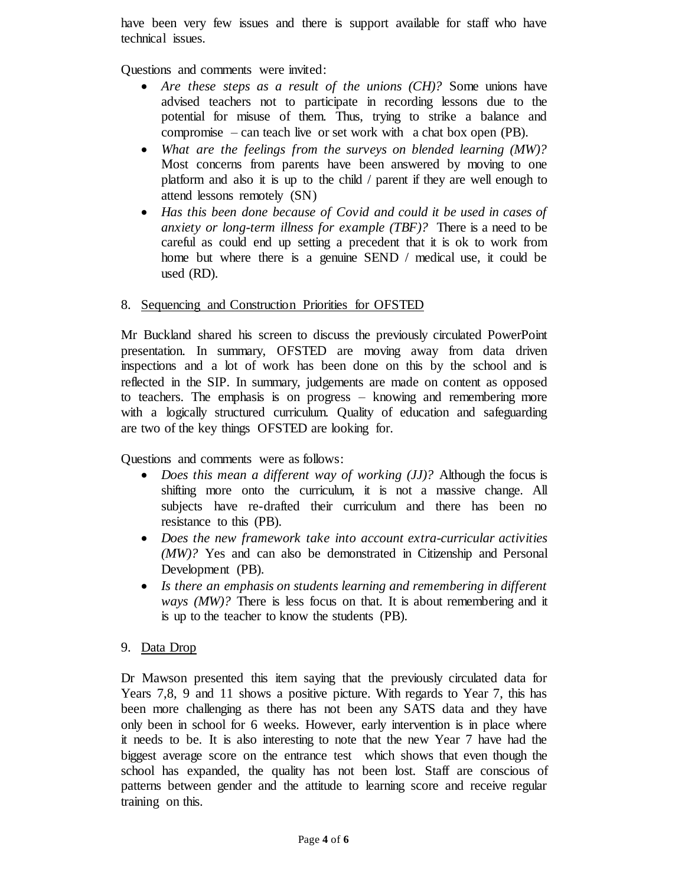have been very few issues and there is support available for staff who have technical issues.

Questions and comments were invited:

- *Are these steps as a result of the unions (CH)?* Some unions have advised teachers not to participate in recording lessons due to the potential for misuse of them. Thus, trying to strike a balance and compromise – can teach live or set work with a chat box open (PB).
- *What are the feelings from the surveys on blended learning (MW)?* Most concerns from parents have been answered by moving to one platform and also it is up to the child / parent if they are well enough to attend lessons remotely (SN)
- *Has this been done because of Covid and could it be used in cases of anxiety or long-term illness for example (TBF)?* There is a need to be careful as could end up setting a precedent that it is ok to work from home but where there is a genuine SEND / medical use, it could be used (RD).

# 8. Sequencing and Construction Priorities for OFSTED

Mr Buckland shared his screen to discuss the previously circulated PowerPoint presentation. In summary, OFSTED are moving away from data driven inspections and a lot of work has been done on this by the school and is reflected in the SIP. In summary, judgements are made on content as opposed to teachers. The emphasis is on progress – knowing and remembering more with a logically structured curriculum. Quality of education and safeguarding are two of the key things OFSTED are looking for.

Questions and comments were as follows:

- *Does this mean a different way of working (JJ)?* Although the focus is shifting more onto the curriculum, it is not a massive change. All subjects have re-drafted their curriculum and there has been no resistance to this (PB).
- *Does the new framework take into account extra-curricular activities (MW)?* Yes and can also be demonstrated in Citizenship and Personal Development (PB).
- *Is there an emphasis on students learning and remembering in different ways (MW)?* There is less focus on that. It is about remembering and it is up to the teacher to know the students (PB).

# 9. Data Drop

Dr Mawson presented this item saying that the previously circulated data for Years 7,8, 9 and 11 shows a positive picture. With regards to Year 7, this has been more challenging as there has not been any SATS data and they have only been in school for 6 weeks. However, early intervention is in place where it needs to be. It is also interesting to note that the new Year 7 have had the biggest average score on the entrance test which shows that even though the school has expanded, the quality has not been lost. Staff are conscious of patterns between gender and the attitude to learning score and receive regular training on this.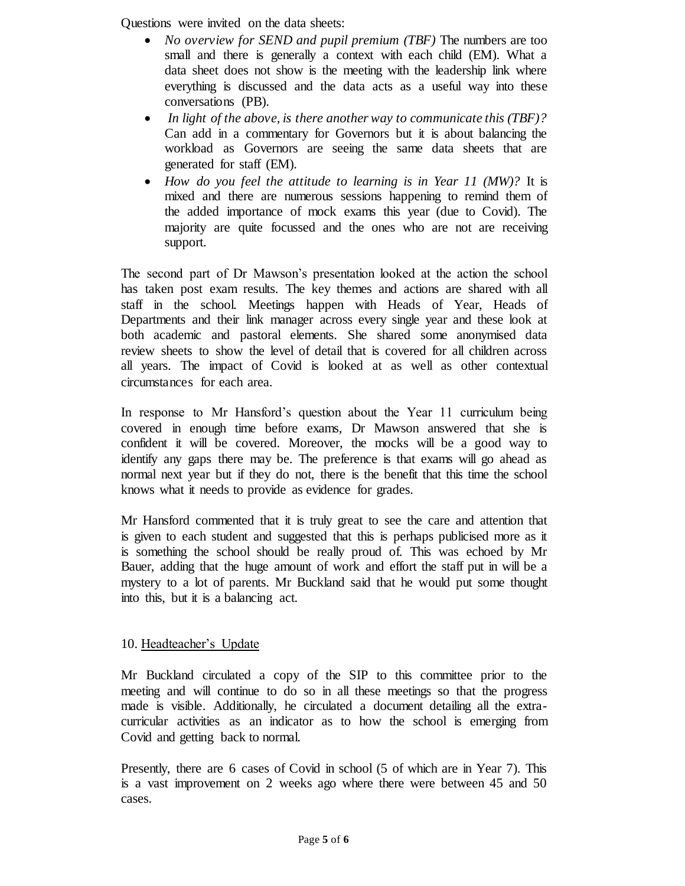Questions were invited on the data sheets:

- *No overview for SEND and pupil premium (TBF)* The numbers are too small and there is generally a context with each child (EM). What a data sheet does not show is the meeting with the leadership link where everything is discussed and the data acts as a useful way into these conversations (PB).
- *In light of the above, is there another way to communicate this (TBF)?*  Can add in a commentary for Governors but it is about balancing the workload as Governors are seeing the same data sheets that are generated for staff (EM).
- *How do you feel the attitude to learning is in Year 11 (MW)?* It is mixed and there are numerous sessions happening to remind them of the added importance of mock exams this year (due to Covid). The majority are quite focussed and the ones who are not are receiving support.

The second part of Dr Mawson's presentation looked at the action the school has taken post exam results. The key themes and actions are shared with all staff in the school. Meetings happen with Heads of Year, Heads of Departments and their link manager across every single year and these look at both academic and pastoral elements. She shared some anonymised data review sheets to show the level of detail that is covered for all children across all years. The impact of Covid is looked at as well as other contextual circumstances for each area.

In response to Mr Hansford's question about the Year 11 curriculum being covered in enough time before exams, Dr Mawson answered that she is confident it will be covered. Moreover, the mocks will be a good way to identify any gaps there may be. The preference is that exams will go ahead as normal next year but if they do not, there is the benefit that this time the school knows what it needs to provide as evidence for grades.

Mr Hansford commented that it is truly great to see the care and attention that is given to each student and suggested that this is perhaps publicised more as it is something the school should be really proud of. This was echoed by Mr Bauer, adding that the huge amount of work and effort the staff put in will be a mystery to a lot of parents. Mr Buckland said that he would put some thought into this, but it is a balancing act.

## 10. Headteacher's Update

Mr Buckland circulated a copy of the SIP to this committee prior to the meeting and will continue to do so in all these meetings so that the progress made is visible. Additionally, he circulated a document detailing all the extracurricular activities as an indicator as to how the school is emerging from Covid and getting back to normal.

Presently, there are 6 cases of Covid in school (5 of which are in Year 7). This is a vast improvement on 2 weeks ago where there were between 45 and 50 cases.